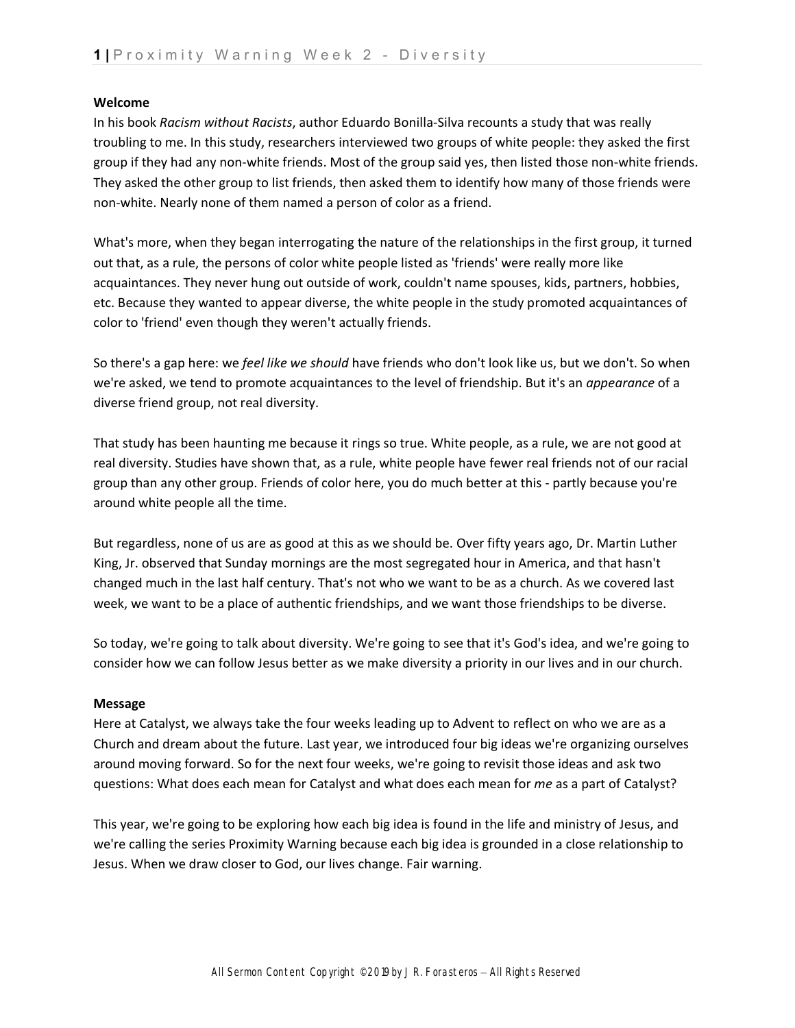#### **Welcome**

In his book *Racism without Racists*, author Eduardo Bonilla-Silva recounts a study that was really troubling to me. In this study, researchers interviewed two groups of white people: they asked the first group if they had any non-white friends. Most of the group said yes, then listed those non-white friends. They asked the other group to list friends, then asked them to identify how many of those friends were non-white. Nearly none of them named a person of color as a friend.

What's more, when they began interrogating the nature of the relationships in the first group, it turned out that, as a rule, the persons of color white people listed as 'friends' were really more like acquaintances. They never hung out outside of work, couldn't name spouses, kids, partners, hobbies, etc. Because they wanted to appear diverse, the white people in the study promoted acquaintances of color to 'friend' even though they weren't actually friends.

So there's a gap here: we *feel like we should* have friends who don't look like us, but we don't. So when we're asked, we tend to promote acquaintances to the level of friendship. But it's an *appearance* of a diverse friend group, not real diversity.

That study has been haunting me because it rings so true. White people, as a rule, we are not good at real diversity. Studies have shown that, as a rule, white people have fewer real friends not of our racial group than any other group. Friends of color here, you do much better at this - partly because you're around white people all the time.

But regardless, none of us are as good at this as we should be. Over fifty years ago, Dr. Martin Luther King, Jr. observed that Sunday mornings are the most segregated hour in America, and that hasn't changed much in the last half century. That's not who we want to be as a church. As we covered last week, we want to be a place of authentic friendships, and we want those friendships to be diverse.

So today, we're going to talk about diversity. We're going to see that it's God's idea, and we're going to consider how we can follow Jesus better as we make diversity a priority in our lives and in our church.

### **Message**

Here at Catalyst, we always take the four weeks leading up to Advent to reflect on who we are as a Church and dream about the future. Last year, we introduced four big ideas we're organizing ourselves around moving forward. So for the next four weeks, we're going to revisit those ideas and ask two questions: What does each mean for Catalyst and what does each mean for *me* as a part of Catalyst?

This year, we're going to be exploring how each big idea is found in the life and ministry of Jesus, and we're calling the series Proximity Warning because each big idea is grounded in a close relationship to Jesus. When we draw closer to God, our lives change. Fair warning.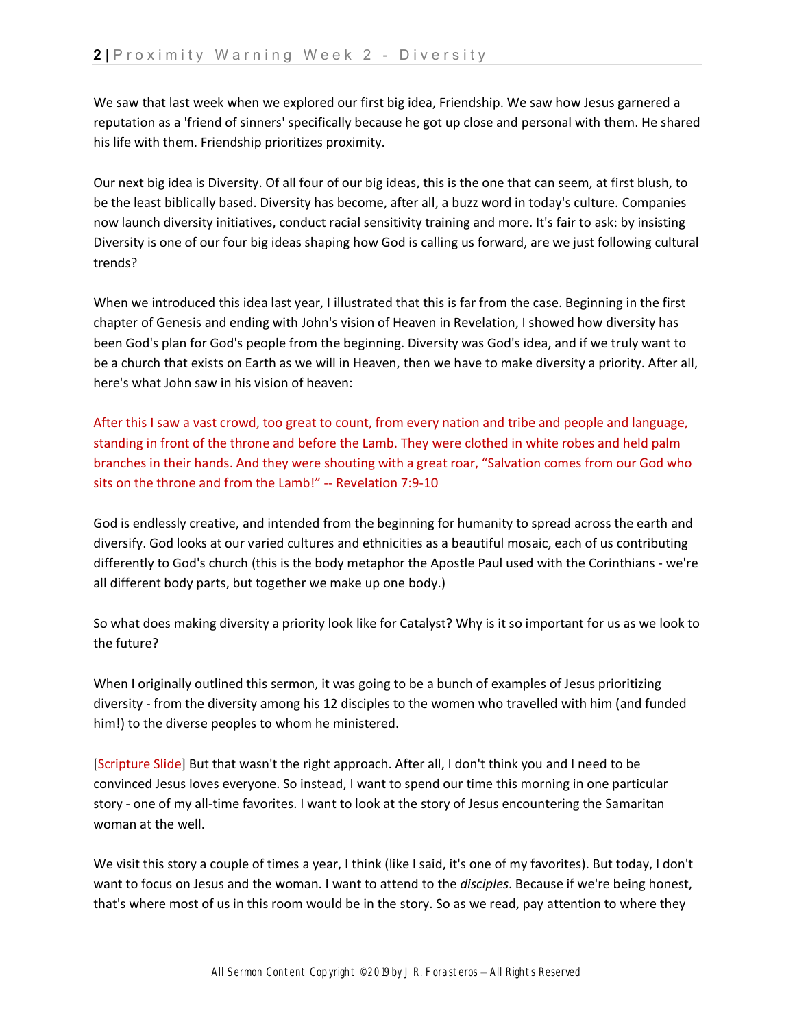We saw that last week when we explored our first big idea, Friendship. We saw how Jesus garnered a reputation as a 'friend of sinners' specifically because he got up close and personal with them. He shared his life with them. Friendship prioritizes proximity.

Our next big idea is Diversity. Of all four of our big ideas, this is the one that can seem, at first blush, to be the least biblically based. Diversity has become, after all, a buzz word in today's culture. Companies now launch diversity initiatives, conduct racial sensitivity training and more. It's fair to ask: by insisting Diversity is one of our four big ideas shaping how God is calling us forward, are we just following cultural trends?

When we introduced this idea last year, I illustrated that this is far from the case. Beginning in the first chapter of Genesis and ending with John's vision of Heaven in Revelation, I showed how diversity has been God's plan for God's people from the beginning. Diversity was God's idea, and if we truly want to be a church that exists on Earth as we will in Heaven, then we have to make diversity a priority. After all, here's what John saw in his vision of heaven:

After this I saw a vast crowd, too great to count, from every nation and tribe and people and language, standing in front of the throne and before the Lamb. They were clothed in white robes and held palm branches in their hands. And they were shouting with a great roar, "Salvation comes from our God who sits on the throne and from the Lamb!" -- Revelation 7:9-10

God is endlessly creative, and intended from the beginning for humanity to spread across the earth and diversify. God looks at our varied cultures and ethnicities as a beautiful mosaic, each of us contributing differently to God's church (this is the body metaphor the Apostle Paul used with the Corinthians - we're all different body parts, but together we make up one body.)

So what does making diversity a priority look like for Catalyst? Why is it so important for us as we look to the future?

When I originally outlined this sermon, it was going to be a bunch of examples of Jesus prioritizing diversity - from the diversity among his 12 disciples to the women who travelled with him (and funded him!) to the diverse peoples to whom he ministered.

[Scripture Slide] But that wasn't the right approach. After all, I don't think you and I need to be convinced Jesus loves everyone. So instead, I want to spend our time this morning in one particular story - one of my all-time favorites. I want to look at the story of Jesus encountering the Samaritan woman at the well.

We visit this story a couple of times a year, I think (like I said, it's one of my favorites). But today, I don't want to focus on Jesus and the woman. I want to attend to the *disciples*. Because if we're being honest, that's where most of us in this room would be in the story. So as we read, pay attention to where they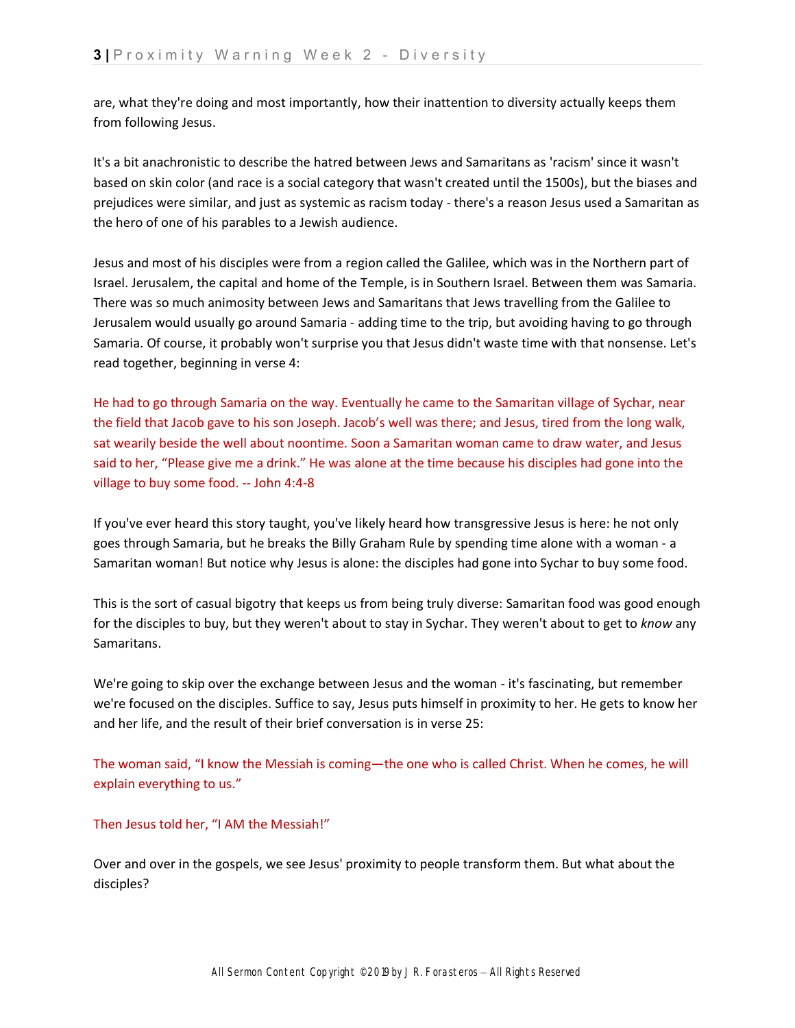are, what they're doing and most importantly, how their inattention to diversity actually keeps them from following Jesus.

It's a bit anachronistic to describe the hatred between Jews and Samaritans as 'racism' since it wasn't based on skin color (and race is a social category that wasn't created until the 1500s), but the biases and prejudices were similar, and just as systemic as racism today - there's a reason Jesus used a Samaritan as the hero of one of his parables to a Jewish audience.

Jesus and most of his disciples were from a region called the Galilee, which was in the Northern part of Israel. Jerusalem, the capital and home of the Temple, is in Southern Israel. Between them was Samaria. There was so much animosity between Jews and Samaritans that Jews travelling from the Galilee to Jerusalem would usually go around Samaria - adding time to the trip, but avoiding having to go through Samaria. Of course, it probably won't surprise you that Jesus didn't waste time with that nonsense. Let's read together, beginning in verse 4:

He had to go through Samaria on the way. Eventually he came to the Samaritan village of Sychar, near the field that Jacob gave to his son Joseph. Jacob's well was there; and Jesus, tired from the long walk, sat wearily beside the well about noontime. Soon a Samaritan woman came to draw water, and Jesus said to her, "Please give me a drink." He was alone at the time because his disciples had gone into the village to buy some food. -- John 4:4-8

If you've ever heard this story taught, you've likely heard how transgressive Jesus is here: he not only goes through Samaria, but he breaks the Billy Graham Rule by spending time alone with a woman - a Samaritan woman! But notice why Jesus is alone: the disciples had gone into Sychar to buy some food.

This is the sort of casual bigotry that keeps us from being truly diverse: Samaritan food was good enough for the disciples to buy, but they weren't about to stay in Sychar. They weren't about to get to *know* any Samaritans.

We're going to skip over the exchange between Jesus and the woman - it's fascinating, but remember we're focused on the disciples. Suffice to say, Jesus puts himself in proximity to her. He gets to know her and her life, and the result of their brief conversation is in verse 25:

The woman said, "I know the Messiah is coming—the one who is called Christ. When he comes, he will explain everything to us."

## Then Jesus told her, "I AM the Messiah!"

Over and over in the gospels, we see Jesus' proximity to people transform them. But what about the disciples?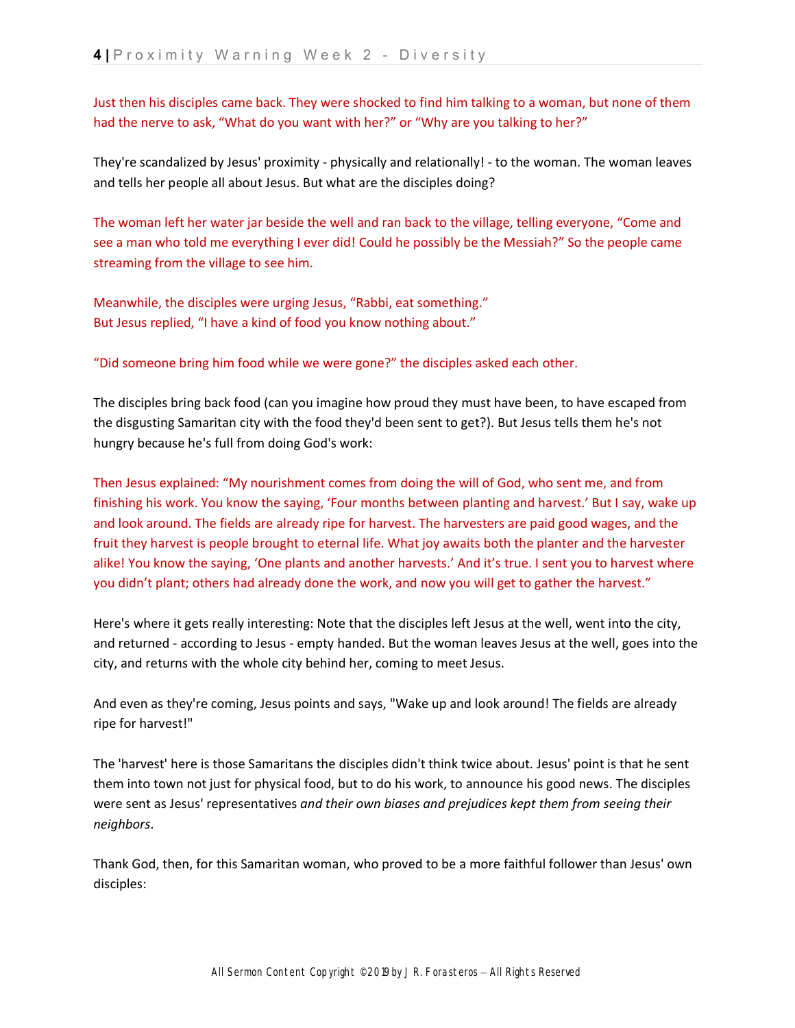Just then his disciples came back. They were shocked to find him talking to a woman, but none of them had the nerve to ask, "What do you want with her?" or "Why are you talking to her?"

They're scandalized by Jesus' proximity - physically and relationally! - to the woman. The woman leaves and tells her people all about Jesus. But what are the disciples doing?

The woman left her water jar beside the well and ran back to the village, telling everyone, "Come and see a man who told me everything I ever did! Could he possibly be the Messiah?" So the people came streaming from the village to see him.

Meanwhile, the disciples were urging Jesus, "Rabbi, eat something." But Jesus replied, "I have a kind of food you know nothing about."

"Did someone bring him food while we were gone?" the disciples asked each other.

The disciples bring back food (can you imagine how proud they must have been, to have escaped from the disgusting Samaritan city with the food they'd been sent to get?). But Jesus tells them he's not hungry because he's full from doing God's work:

Then Jesus explained: "My nourishment comes from doing the will of God, who sent me, and from finishing his work. You know the saying, 'Four months between planting and harvest.' But I say, wake up and look around. The fields are already ripe for harvest. The harvesters are paid good wages, and the fruit they harvest is people brought to eternal life. What joy awaits both the planter and the harvester alike! You know the saying, 'One plants and another harvests.' And it's true. I sent you to harvest where you didn't plant; others had already done the work, and now you will get to gather the harvest."

Here's where it gets really interesting: Note that the disciples left Jesus at the well, went into the city, and returned - according to Jesus - empty handed. But the woman leaves Jesus at the well, goes into the city, and returns with the whole city behind her, coming to meet Jesus.

And even as they're coming, Jesus points and says, "Wake up and look around! The fields are already ripe for harvest!"

The 'harvest' here is those Samaritans the disciples didn't think twice about. Jesus' point is that he sent them into town not just for physical food, but to do his work, to announce his good news. The disciples were sent as Jesus' representatives *and their own biases and prejudices kept them from seeing their neighbors*.

Thank God, then, for this Samaritan woman, who proved to be a more faithful follower than Jesus' own disciples: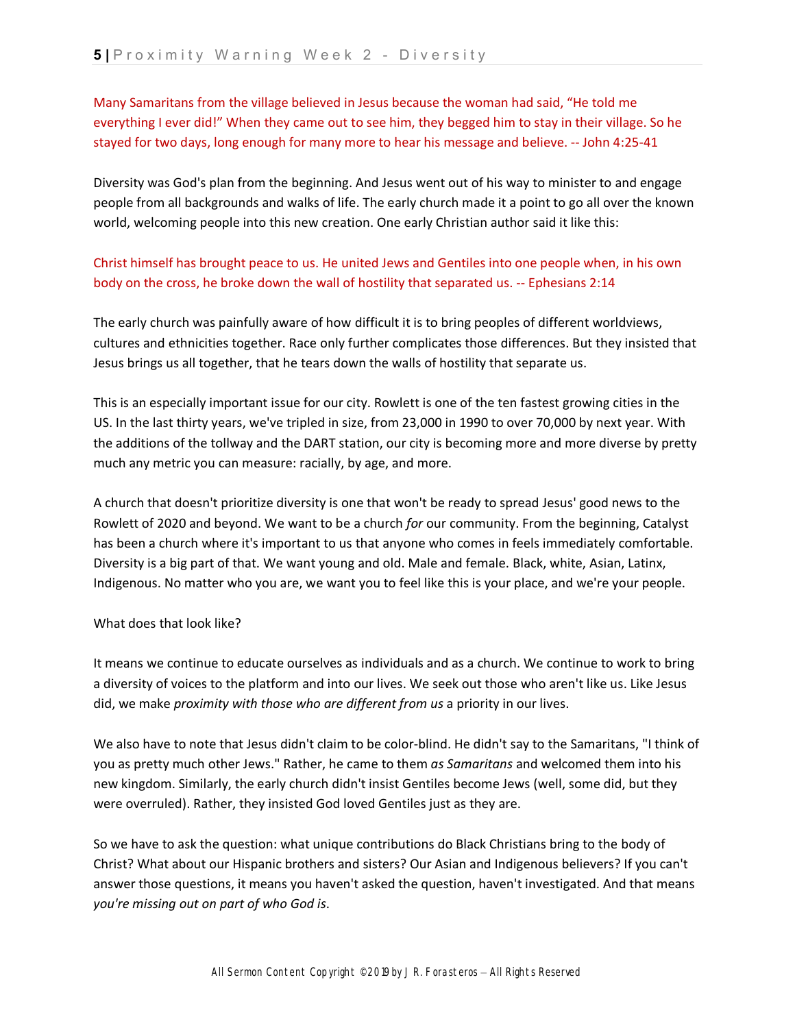Many Samaritans from the village believed in Jesus because the woman had said, "He told me everything I ever did!" When they came out to see him, they begged him to stay in their village. So he stayed for two days, long enough for many more to hear his message and believe. -- John 4:25-41

Diversity was God's plan from the beginning. And Jesus went out of his way to minister to and engage people from all backgrounds and walks of life. The early church made it a point to go all over the known world, welcoming people into this new creation. One early Christian author said it like this:

# Christ himself has brought peace to us. He united Jews and Gentiles into one people when, in his own body on the cross, he broke down the wall of hostility that separated us. -- Ephesians 2:14

The early church was painfully aware of how difficult it is to bring peoples of different worldviews, cultures and ethnicities together. Race only further complicates those differences. But they insisted that Jesus brings us all together, that he tears down the walls of hostility that separate us.

This is an especially important issue for our city. Rowlett is one of the ten fastest growing cities in the US. In the last thirty years, we've tripled in size, from 23,000 in 1990 to over 70,000 by next year. With the additions of the tollway and the DART station, our city is becoming more and more diverse by pretty much any metric you can measure: racially, by age, and more.

A church that doesn't prioritize diversity is one that won't be ready to spread Jesus' good news to the Rowlett of 2020 and beyond. We want to be a church *for* our community. From the beginning, Catalyst has been a church where it's important to us that anyone who comes in feels immediately comfortable. Diversity is a big part of that. We want young and old. Male and female. Black, white, Asian, Latinx, Indigenous. No matter who you are, we want you to feel like this is your place, and we're your people.

### What does that look like?

It means we continue to educate ourselves as individuals and as a church. We continue to work to bring a diversity of voices to the platform and into our lives. We seek out those who aren't like us. Like Jesus did, we make *proximity with those who are different from us* a priority in our lives.

We also have to note that Jesus didn't claim to be color-blind. He didn't say to the Samaritans, "I think of you as pretty much other Jews." Rather, he came to them *as Samaritans* and welcomed them into his new kingdom. Similarly, the early church didn't insist Gentiles become Jews (well, some did, but they were overruled). Rather, they insisted God loved Gentiles just as they are.

So we have to ask the question: what unique contributions do Black Christians bring to the body of Christ? What about our Hispanic brothers and sisters? Our Asian and Indigenous believers? If you can't answer those questions, it means you haven't asked the question, haven't investigated. And that means *you're missing out on part of who God is*.